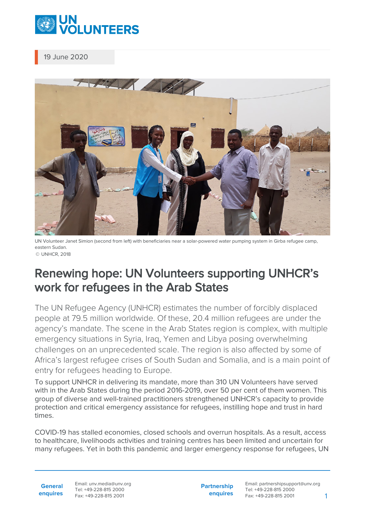

19 June 2020



UN Volunteer Janet Simion (second from left) with beneficiaries near a solar-powered water pumping system in Girba refugee camp, eastern Sudan. © UNHCR, 2018

## Renewing hope: UN Volunteers supporting UNHCR's work for refugees in the Arab States

The UN Refugee Agency (UNHCR) estimates the number of forcibly displaced people at 79.5 million worldwide. Of these, 20.4 million refugees are under the agency's mandate. The scene in the Arab States region is complex, with multiple emergency situations in Syria, Iraq, Yemen and Libya posing overwhelming challenges on an unprecedented scale. The region is also affected by some of Africa's largest refugee crises of South Sudan and Somalia, and is a main point of entry for refugees heading to Europe.

To support UNHCR in delivering its mandate, more than 310 UN Volunteers have served with in the Arab States during the period 2016-2019, over 50 per cent of them women. This group of diverse and well-trained practitioners strengthened UNHCR's capacity to provide protection and critical emergency assistance for refugees, instilling hope and trust in hard times.

COVID-19 has stalled economies, closed schools and overrun hospitals. As a result, access to healthcare, livelihoods activities and training centres has been limited and uncertain for many refugees. Yet in both this pandemic and larger emergency response for refugees, UN

**General enquires** Email: unv.media@unv.org Tel: +49-228-815 2000 Fax: +49-228-815 2001

**Partnership enquires** Email: partnershipsupport@unv.org Tel: +49-228-815 2000 Fax: +49-228-815 2001 1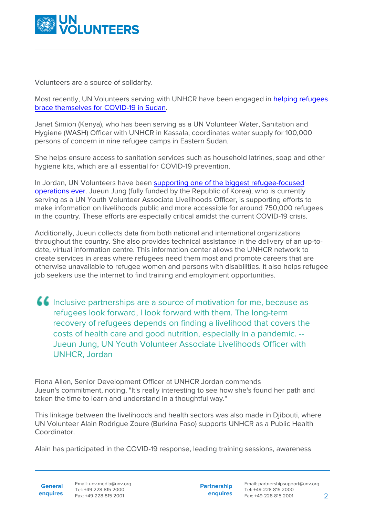

Volunteers are a source of solidarity.

Most recently, UN Volunteers serving with UNHCR have been engaged in [helping refugees](https://www.unv.org/Success-stories/Helping-refugees-brace-themselves-COVID-19-Sudan) [brace themselves for COVID-19 in Sudan.](https://www.unv.org/Success-stories/Helping-refugees-brace-themselves-COVID-19-Sudan)

Janet Simion (Kenya), who has been serving as a UN Volunteer Water, Sanitation and Hygiene (WASH) Officer with UNHCR in Kassala, coordinates water supply for 100,000 persons of concern in nine refugee camps in Eastern Sudan.

She helps ensure access to sanitation services such as household latrines, soap and other hygiene kits, which are all essential for COVID-19 prevention.

In Jordan, UN Volunteers have been [supporting one of the biggest refugee-focused](https://www.unv.org/Our-stories/Jordan-supporting-one-biggest-refugee-focused-operations-ever) [operations ever](https://www.unv.org/Our-stories/Jordan-supporting-one-biggest-refugee-focused-operations-ever). Jueun Jung (fully funded by the Republic of Korea), who is currently serving as a UN Youth Volunteer Associate Livelihoods Officer, is supporting efforts to make information on livelihoods public and more accessible for around 750,000 refugees in the country. These efforts are especially critical amidst the current COVID-19 crisis.

Additionally, Jueun collects data from both national and international organizations throughout the country. She also provides technical assistance in the delivery of an up-todate, virtual information centre. This information center allows the UNHCR network to create services in areas where refugees need them most and promote careers that are otherwise unavailable to refugee women and persons with disabilities. It also helps refugee job seekers use the internet to find training and employment opportunities.

Inclusive partnerships are a source of motivation for me, because as refugees look forward, I look forward with them. The long-term recovery of refugees depends on finding a livelihood that covers the costs of health care and good nutrition, especially in a pandemic. -- Jueun Jung, UN Youth Volunteer Associate Livelihoods Officer with UNHCR, Jordan

Fiona Allen, Senior Development Officer at UNHCR Jordan commends Jueun's commitment, noting, "It's really interesting to see how she's found her path and taken the time to learn and understand in a thoughtful way."

This linkage between the livelihoods and health sectors was also made in Djibouti, where UN Volunteer Alain Rodrigue Zoure (Burkina Faso) supports UNHCR as a Public Health Coordinator.

Alain has participated in the COVID-19 response, leading training sessions, awareness

**General**

**Partnership enquires**